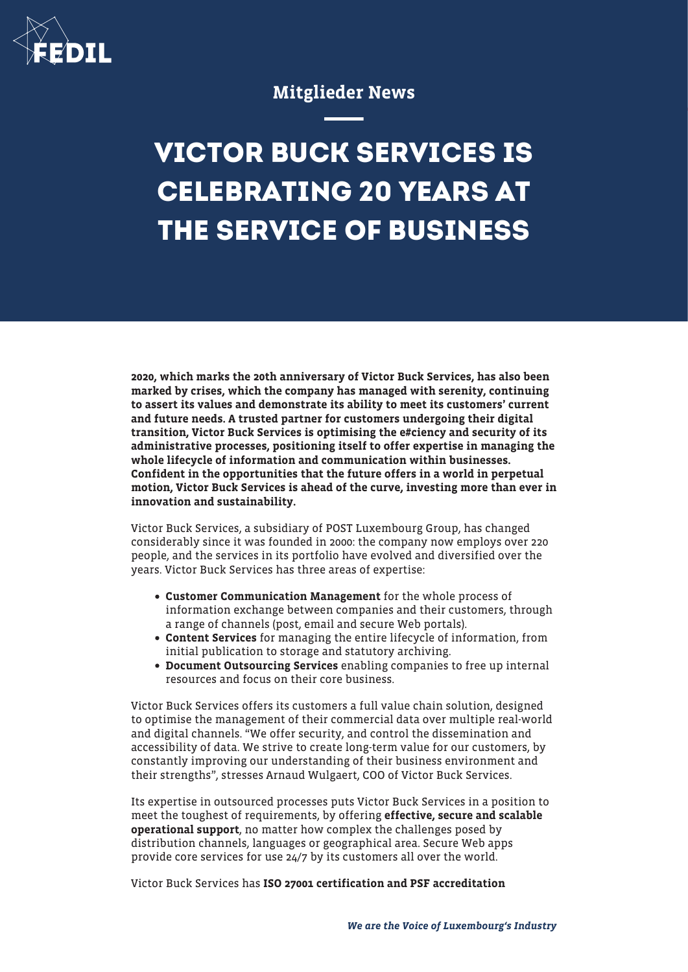

## Mitglieder News

## **VICTOR BUCK SERVICES IS CELEBRATING 20 YEARS AT THE SERVICE OF BUSINESS**

2020, which marks the 20th anniversary of Victor Buck Services, has also been marked by crises, which the company has managed with serenity, continuing to assert its values and demonstrate its ability to meet its customers' current and future needs. A trusted partner for customers undergoing their digital transition, Victor Buck Services is optimising the e#ciency and security of its administrative processes, positioning itself to offer expertise in managing the whole lifecycle of information and communication within businesses. Confident in the opportunities that the future offers in a world in perpetual motion, Victor Buck Services is ahead of the curve, investing more than ever in innovation and sustainability.

Victor Buck Services, a subsidiary of POST Luxembourg Group, has changed considerably since it was founded in 2000: the company now employs over 220 people, and the services in its portfolio have evolved and diversified over the years. Victor Buck Services has three areas of expertise:

- Customer Communication Management for the whole process of information exchange between companies and their customers, through a range of channels (post, email and secure Web portals).
- Content Services for managing the entire lifecycle of information, from initial publication to storage and statutory archiving.
- Document Outsourcing Services enabling companies to free up internal resources and focus on their core business.

Victor Buck Services offers its customers a full value chain solution, designed to optimise the management of their commercial data over multiple real-world and digital channels. "We offer security, and control the dissemination and accessibility of data. We strive to create long-term value for our customers, by constantly improving our understanding of their business environment and their strengths", stresses Arnaud Wulgaert, COO of Victor Buck Services.

Its expertise in outsourced processes puts Victor Buck Services in a position to meet the toughest of requirements, by offering effective, secure and scalable operational support, no matter how complex the challenges posed by distribution channels, languages or geographical area. Secure Web apps provide core services for use 24/7 by its customers all over the world.

Victor Buck Services has ISO 27001 certification and PSF accreditation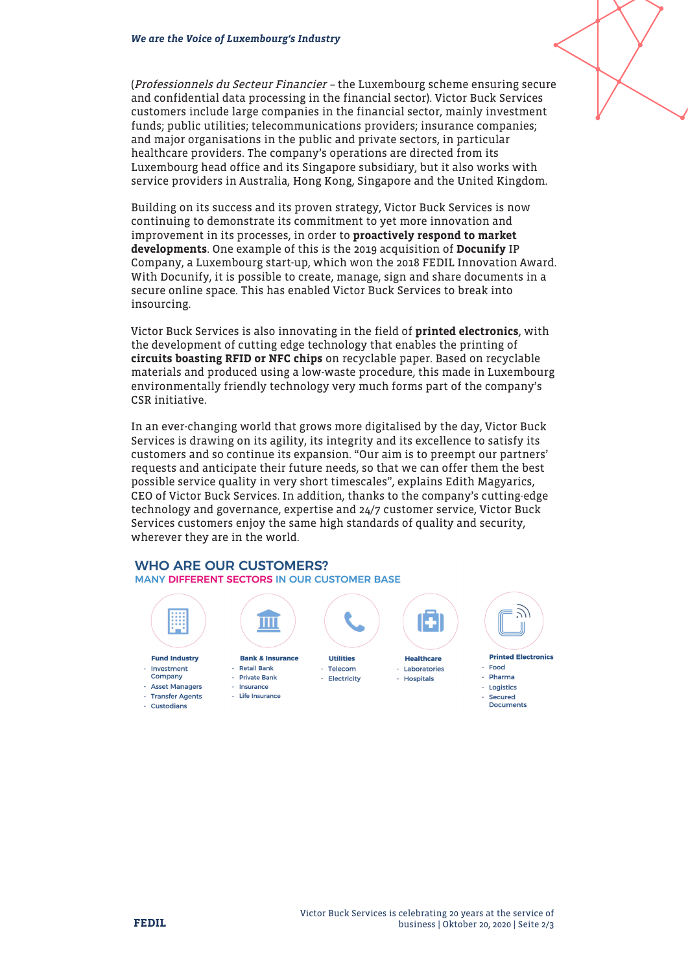(Professionnels du Secteur Financier – the Luxembourg scheme ensuring secure and confidential data processing in the financial sector). Victor Buck Services customers include large companies in the financial sector, mainly investment funds; public utilities; telecommunications providers; insurance companies; and major organisations in the public and private sectors, in particular healthcare providers. The company's operations are directed from its Luxembourg head office and its Singapore subsidiary, but it also works with service providers in Australia, Hong Kong, Singapore and the United Kingdom.

Building on its success and its proven strategy, Victor Buck Services is now continuing to demonstrate its commitment to yet more innovation and improvement in its processes, in order to proactively respond to market developments. One example of this is the 2019 acquisition of Docunify IP Company, a Luxembourg start-up, which won the 2018 FEDIL Innovation Award. With Docunify, it is possible to create, manage, sign and share documents in a secure online space. This has enabled Victor Buck Services to break into insourcing.

Victor Buck Services is also innovating in the field of printed electronics, with the development of cutting edge technology that enables the printing of circuits boasting RFID or NFC chips on recyclable paper. Based on recyclable materials and produced using a low-waste procedure, this made in Luxembourg environmentally friendly technology very much forms part of the company's CSR initiative.

In an ever-changing world that grows more digitalised by the day, Victor Buck Services is drawing on its agility, its integrity and its excellence to satisfy its customers and so continue its expansion. "Our aim is to preempt our partners' requests and anticipate their future needs, so that we can offer them the best possible service quality in very short timescales", explains Edith Magyarics, CEO of Victor Buck Services. In addition, thanks to the company's cutting-edge technology and governance, expertise and 24/7 customer service, Victor Buck Services customers enjoy the same high standards of quality and security, wherever they are in the world.

## **WHO ARE OUR CUSTOMERS?** MANY DIFFERENT SECTORS IN OUR CUSTOMER BASE